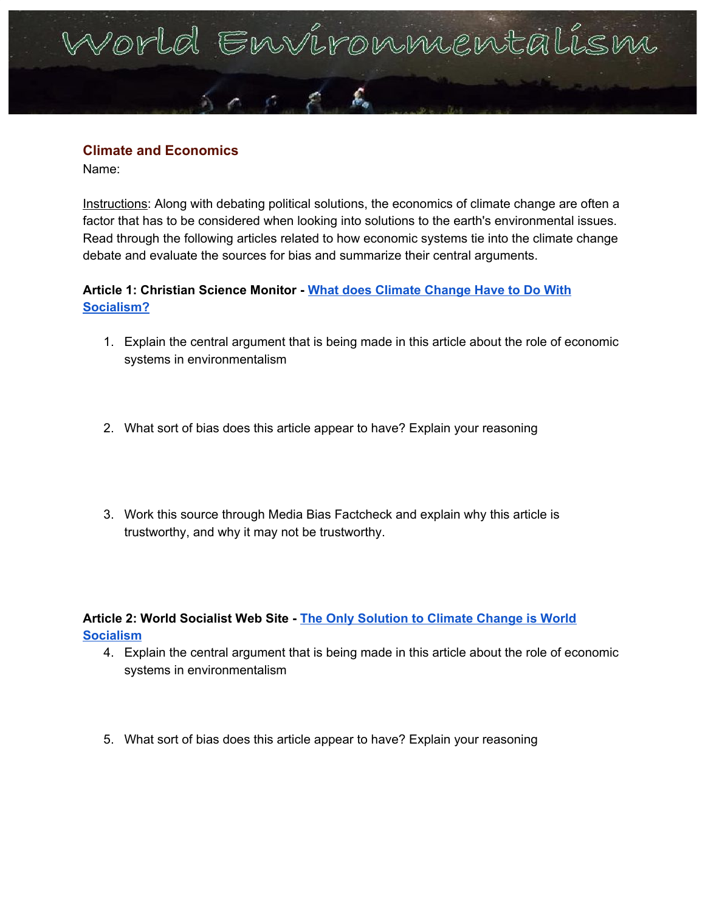# orld Environnienta

# **Climate and Economics**

Name:

Instructions: Along with debating political solutions, the economics of climate change are often a factor that has to be considered when looking into solutions to the earth's environmental issues. Read through the following articles related to how economic systems tie into the climate change debate and evaluate the sources for bias and summarize their central arguments.

# **Article 1: Christian Science Monitor - What does Climate [Change](https://www.csmonitor.com/Environment/2019/0805/What-does-climate-change-have-to-do-with-socialism) Have to Do With [Socialism?](https://www.csmonitor.com/Environment/2019/0805/What-does-climate-change-have-to-do-with-socialism)**

- 1. Explain the central argument that is being made in this article about the role of economic systems in environmentalism
- 2. What sort of bias does this article appear to have? Explain your reasoning
- 3. Work this source through Media Bias Factcheck and explain why this article is trustworthy, and why it may not be trustworthy.

**Article 2: World Socialist Web Site - The Only [Solution](https://www.wsws.org/en/articles/2019/09/19/clim-s19.html) to Climate Change is World [Socialism](https://www.wsws.org/en/articles/2019/09/19/clim-s19.html)**

- 4. Explain the central argument that is being made in this article about the role of economic systems in environmentalism
- 5. What sort of bias does this article appear to have? Explain your reasoning